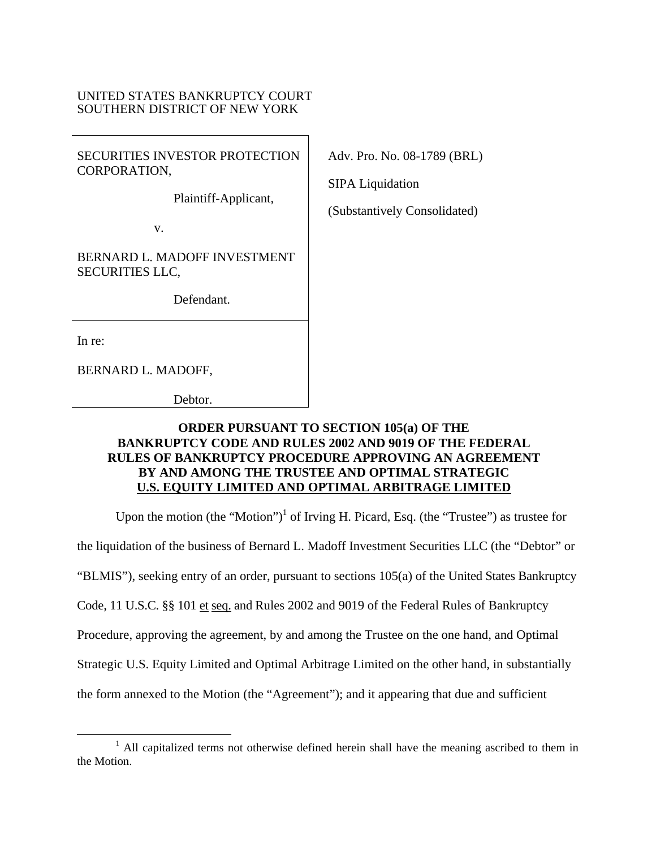## UNITED STATES BANKRUPTCY COURT SOUTHERN DISTRICT OF NEW YORK

SECURITIES INVESTOR PROTECTION CORPORATION,

Plaintiff-Applicant,

v.

BERNARD L. MADOFF INVESTMENT SECURITIES LLC,

Defendant.

In re:

BERNARD L. MADOFF,

Debtor.

Adv. Pro. No. 08-1789 (BRL)

SIPA Liquidation

(Substantively Consolidated)

## **ORDER PURSUANT TO SECTION 105(a) OF THE BANKRUPTCY CODE AND RULES 2002 AND 9019 OF THE FEDERAL RULES OF BANKRUPTCY PROCEDURE APPROVING AN AGREEMENT BY AND AMONG THE TRUSTEE AND OPTIMAL STRATEGIC U.S. EQUITY LIMITED AND OPTIMAL ARBITRAGE LIMITED**

Upon the motion (the "Motion")<sup>1</sup> of Irving H. Picard, Esq. (the "Trustee") as trustee for

the liquidation of the business of Bernard L. Madoff Investment Securities LLC (the "Debtor" or

"BLMIS"), seeking entry of an order, pursuant to sections 105(a) of the United States Bankruptcy

Code, 11 U.S.C. §§ 101 et seq. and Rules 2002 and 9019 of the Federal Rules of Bankruptcy

Procedure, approving the agreement, by and among the Trustee on the one hand, and Optimal

Strategic U.S. Equity Limited and Optimal Arbitrage Limited on the other hand, in substantially

the form annexed to the Motion (the "Agreement"); and it appearing that due and sufficient

 $\frac{1}{1}$ <sup>1</sup> All capitalized terms not otherwise defined herein shall have the meaning ascribed to them in the Motion.